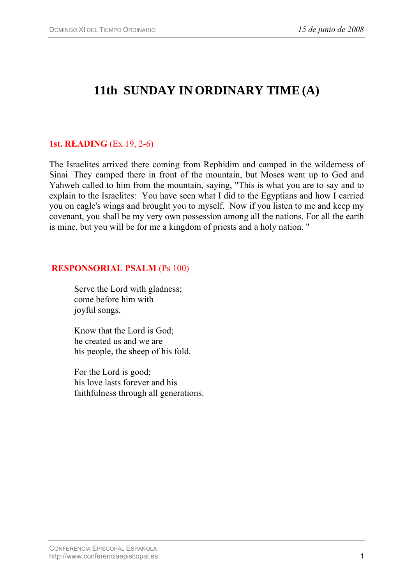# **11th SUNDAY IN ORDINARY TIME(A)**

## **1st. READING** (Ex 19, 2-6)

The Israelites arrived there coming from Rephidim and camped in the wilderness of Sinai. They camped there in front of the mountain, but Moses went up to God and Yahweh called to him from the mountain, saying, "This is what you are to say and to explain to the Israelites: You have seen what I did to the Egyptians and how I carried you on eagle's wings and brought you to myself. Now if you listen to me and keep my covenant, you shall be my very own possession among all the nations. For all the earth is mine, but you will be for me a kingdom of priests and a holy nation. "

### **RESPONSORIAL PSALM** (Ps 100)

Serve the Lord with gladness; come before him with joyful songs.

Know that the Lord is God; he created us and we are his people, the sheep of his fold.

For the Lord is good; his love lasts forever and his faithfulness through all generations.